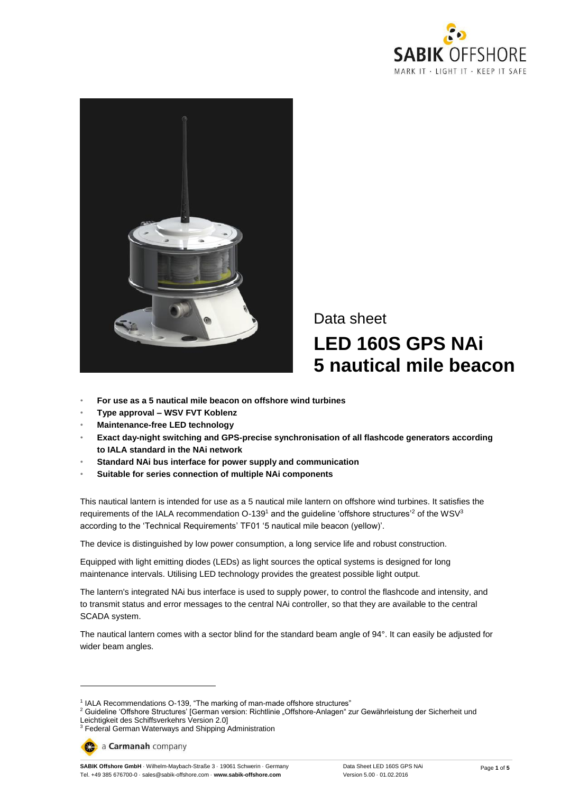



# Data sheet **LED 160S GPS NAi 5 nautical mile beacon**

- **For use as a 5 nautical mile beacon on offshore wind turbines**
- **Type approval – WSV FVT Koblenz**
- **Maintenance-free LED technology**
- **Exact day-night switching and GPS-precise synchronisation of all flashcode generators according to IALA standard in the NAi network**
- **Standard NAi bus interface for power supply and communication**
- **Suitable for series connection of multiple NAi components**

This nautical lantern is intended for use as a 5 nautical mile lantern on offshore wind turbines. It satisfies the requirements of the IALA recommendation O-139<sup>1</sup> and the guideline 'offshore structures'<sup>2</sup> of the WSV<sup>3</sup> according to the 'Technical Requirements' TF01 '5 nautical mile beacon (yellow)'.

The device is distinguished by low power consumption, a long service life and robust construction.

Equipped with light emitting diodes (LEDs) as light sources the optical systems is designed for long maintenance intervals. Utilising LED technology provides the greatest possible light output.

The lantern's integrated NAi bus interface is used to supply power, to control the flashcode and intensity, and to transmit status and error messages to the central NAi controller, so that they are available to the central SCADA system.

The nautical lantern comes with a sector blind for the standard beam angle of 94°. It can easily be adjusted for wider beam angles.

 $\overline{a}$ 

**SABIK Offshore GmbH** · Wilhelm-Maybach-Straße 3 · 19061 Schwerin · Germany Tel. +49 385 676700-0 · sales@sabik-offshore.com · **www.sabik-offshore.com**

<sup>&</sup>lt;sup>1</sup> IALA Recommendations O-139, "The marking of man-made offshore structures"

<sup>&</sup>lt;sup>2</sup> Guideline 'Offshore Structures' [German version: Richtlinie "Offshore-Anlagen" zur Gewährleistung der Sicherheit und Leichtigkeit des Schiffsverkehrs Version 2.0]

<sup>3</sup> Federal German Waterways and Shipping Administration

a Carmanah company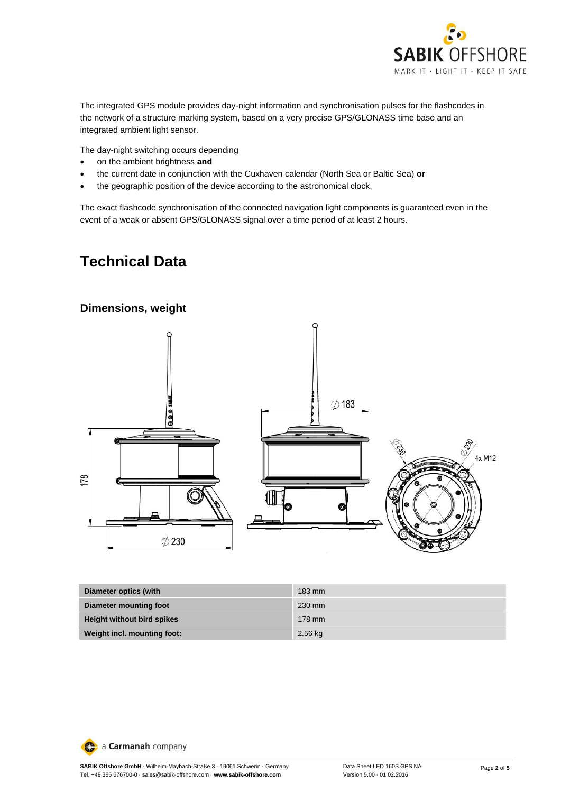

The integrated GPS module provides day-night information and synchronisation pulses for the flashcodes in the network of a structure marking system, based on a very precise GPS/GLONASS time base and an integrated ambient light sensor.

The day-night switching occurs depending

- on the ambient brightness **and**
- the current date in conjunction with the Cuxhaven calendar (North Sea or Baltic Sea) **or**
- the geographic position of the device according to the astronomical clock.

The exact flashcode synchronisation of the connected navigation light components is guaranteed even in the event of a weak or absent GPS/GLONASS signal over a time period of at least 2 hours.

# **Technical Data**



| Diameter optics (with             | $183 \text{ mm}$ |
|-----------------------------------|------------------|
| Diameter mounting foot            | 230 mm           |
| <b>Height without bird spikes</b> | 178 mm           |
| Weight incl. mounting foot:       | $2.56$ kg        |

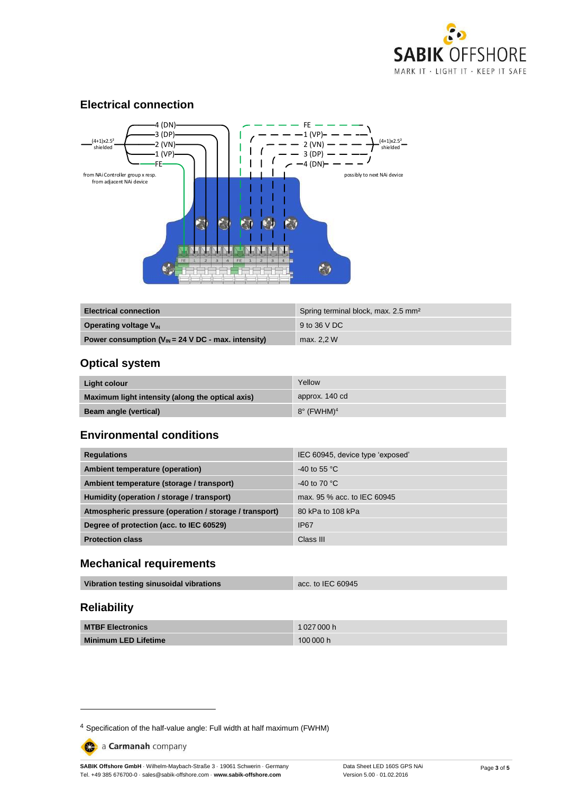

#### **Electrical connection**



| <b>Electrical connection</b>                             | Spring terminal block, max. 2.5 mm <sup>2</sup> |
|----------------------------------------------------------|-------------------------------------------------|
| <b>Operating voltage V<sub>IN</sub></b>                  | 9 to 36 V DC                                    |
| Power consumption ( $V_{IN}$ = 24 V DC - max. intensity) | max. 2.2 W                                      |

### **Optical system**

| Light colour                                     | Yellow                        |
|--------------------------------------------------|-------------------------------|
| Maximum light intensity (along the optical axis) | approx. 140 cd                |
| <b>Beam angle (vertical)</b>                     | $8^\circ$ (FWHM) <sup>4</sup> |

#### **Environmental conditions**

| <b>Regulations</b>                                     | IEC 60945, device type 'exposed' |
|--------------------------------------------------------|----------------------------------|
| Ambient temperature (operation)                        | $-40$ to 55 °C                   |
| Ambient temperature (storage / transport)              | -40 to 70 $^{\circ}$ C           |
| Humidity (operation / storage / transport)             | max, 95 % acc, to IEC 60945      |
| Atmospheric pressure (operation / storage / transport) | 80 kPa to 108 kPa                |
| Degree of protection (acc. to IEC 60529)               | <b>IP67</b>                      |
| <b>Protection class</b>                                | Class III                        |

#### **Mechanical requirements**

| Vibration testing sinusoidal vibrations<br>acc. to IEC 60945 |
|--------------------------------------------------------------|
|--------------------------------------------------------------|

## **Reliability**

-

| <b>MTBF Electronics</b>     | 1027000 h |
|-----------------------------|-----------|
| <b>Minimum LED Lifetime</b> | 100000h   |

a Carmanah company

**SABIK Offshore GmbH** · Wilhelm-Maybach-Straße 3 · 19061 Schwerin · Germany Tel. +49 385 676700-0 · sales@sabik-offshore.com · **www.sabik-offshore.com**

<sup>4</sup> Specification of the half-value angle: Full width at half maximum (FWHM)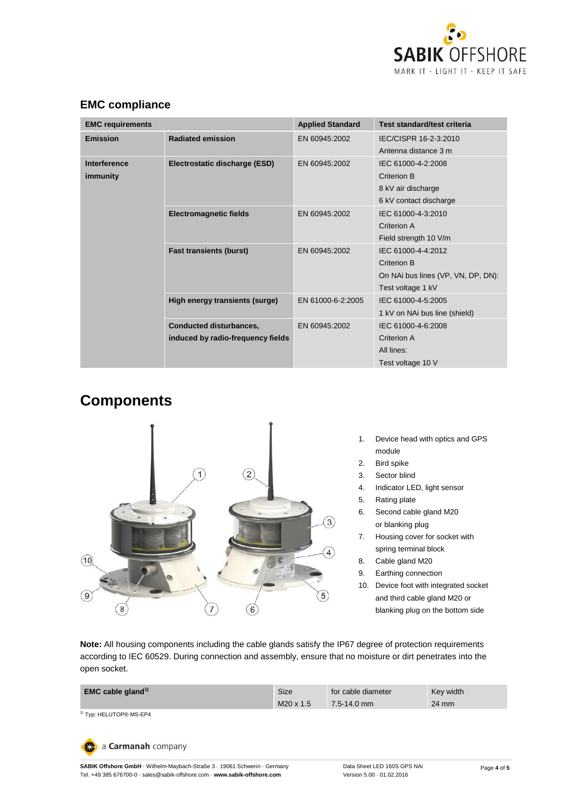

| <b>EMC requirements</b>                                                                                                                 |                               | <b>Applied Standard</b>       | Test standard/test criteria        |  |
|-----------------------------------------------------------------------------------------------------------------------------------------|-------------------------------|-------------------------------|------------------------------------|--|
| <b>Emission</b>                                                                                                                         | <b>Radiated emission</b>      | EN 60945:2002                 | IEC/CISPR 16-2-3:2010              |  |
|                                                                                                                                         |                               |                               | Antenna distance 3 m               |  |
| Interference                                                                                                                            | Electrostatic discharge (ESD) | EN 60945:2002                 | IEC 61000-4-2:2008                 |  |
| immunity                                                                                                                                |                               |                               | Criterion B                        |  |
|                                                                                                                                         |                               |                               | 8 kV air discharge                 |  |
|                                                                                                                                         |                               |                               | 6 kV contact discharge             |  |
| <b>Electromagnetic fields</b>                                                                                                           |                               | EN 60945:2002                 | IEC 61000-4-3:2010                 |  |
|                                                                                                                                         |                               | Criterion A                   |                                    |  |
|                                                                                                                                         |                               | Field strength 10 V/m         |                                    |  |
| <b>Fast transients (burst)</b><br>High energy transients (surge)<br><b>Conducted disturbances,</b><br>induced by radio-frequency fields | EN 60945:2002                 | IEC 61000-4-4:2012            |                                    |  |
|                                                                                                                                         |                               | Criterion B                   |                                    |  |
|                                                                                                                                         |                               |                               | On NAi bus lines (VP, VN, DP, DN): |  |
|                                                                                                                                         |                               | Test voltage 1 kV             |                                    |  |
|                                                                                                                                         | EN 61000-6-2:2005             | IEC 61000-4-5:2005            |                                    |  |
|                                                                                                                                         |                               | 1 kV on NAi bus line (shield) |                                    |  |
|                                                                                                                                         | EN 60945:2002                 | IEC 61000-4-6:2008            |                                    |  |
|                                                                                                                                         |                               | Criterion A                   |                                    |  |
|                                                                                                                                         |                               | All lines:                    |                                    |  |
|                                                                                                                                         |                               |                               | Test voltage 10 V                  |  |

## **EMC compliance**

# **Components**



- 1. Device head with optics and GPS module
- 2. Bird spike
- 3. Sector blind
- 4. Indicator LED, light sensor
- 5. Rating plate
- 6. Second cable gland M20 or blanking plug
- 7. Housing cover for socket with spring terminal block
- 8. Cable gland M20
- 9. Earthing connection
- 10. Device foot with integrated socket and third cable gland M20 or blanking plug on the bottom side

**Note:** All housing components including the cable glands satisfy the IP67 degree of protection requirements according to IEC 60529. During connection and assembly, ensure that no moisture or dirt penetrates into the open socket.

| <b>EMC cable gland</b> <sup>1)</sup> | Size             | for cable diameter | Key width |
|--------------------------------------|------------------|--------------------|-----------|
|                                      | $M20 \times 1.5$ | 7.5-14.0 mm        | 24 mm     |

1) Typ: HELUTOP<sup>®</sup> MS-EP4